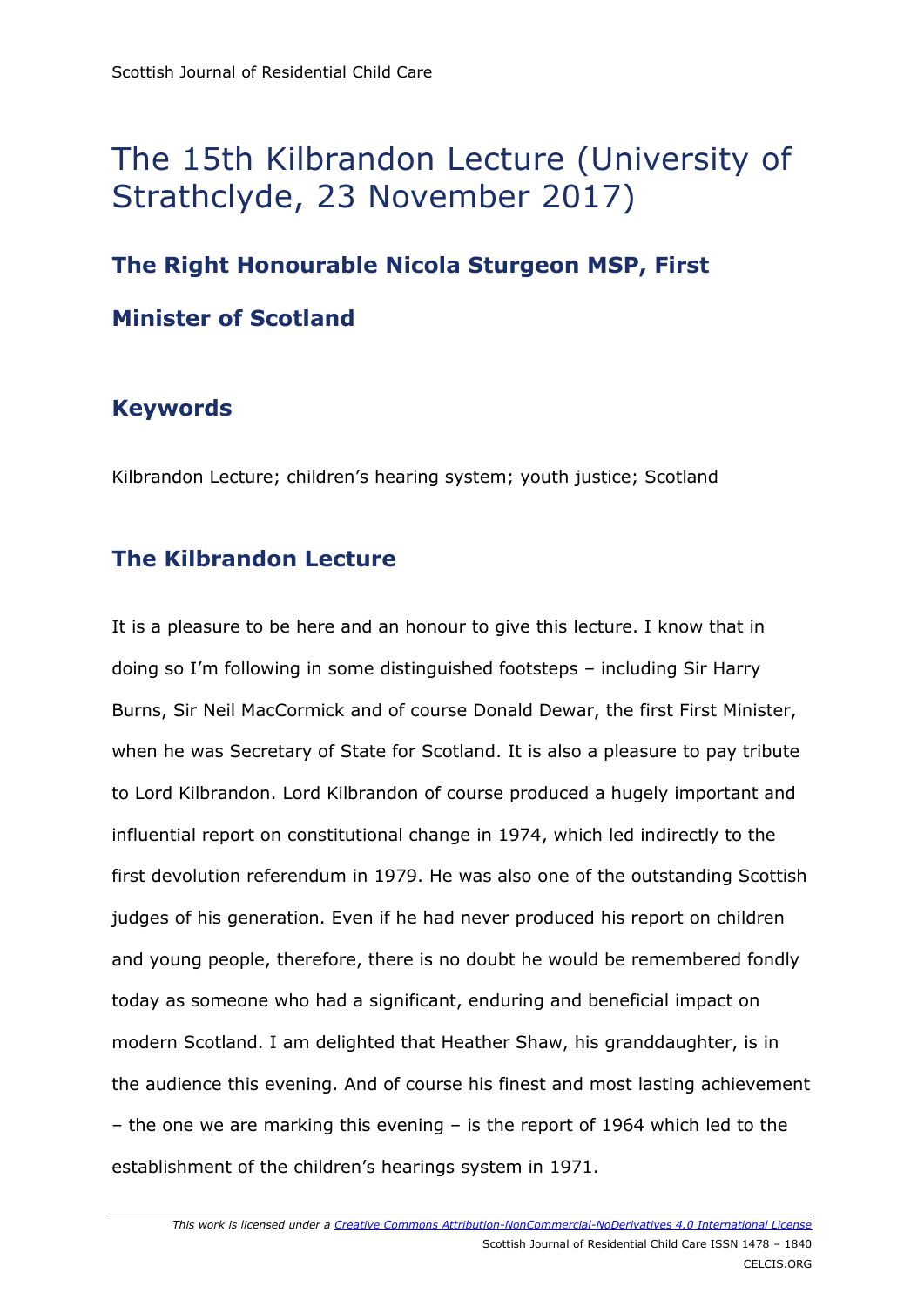# The 15th Kilbrandon Lecture (University of Strathclyde, 23 November 2017)

## **The Right Honourable Nicola Sturgeon MSP, First Minister of Scotland**

### **Keywords**

Kilbrandon Lecture; children's hearing system; youth justice; Scotland

### **The Kilbrandon Lecture**

It is a pleasure to be here and an honour to give this lecture. I know that in doing so I'm following in some distinguished footsteps – including Sir Harry Burns, Sir Neil MacCormick and of course Donald Dewar, the first First Minister, when he was Secretary of State for Scotland. It is also a pleasure to pay tribute to Lord Kilbrandon. Lord Kilbrandon of course produced a hugely important and influential report on constitutional change in 1974, which led indirectly to the first devolution referendum in 1979. He was also one of the outstanding Scottish judges of his generation. Even if he had never produced his report on children and young people, therefore, there is no doubt he would be remembered fondly today as someone who had a significant, enduring and beneficial impact on modern Scotland. I am delighted that Heather Shaw, his granddaughter, is in the audience this evening. And of course his finest and most lasting achievement – the one we are marking this evening – is the report of 1964 which led to the establishment of the children's hearings system in 1971.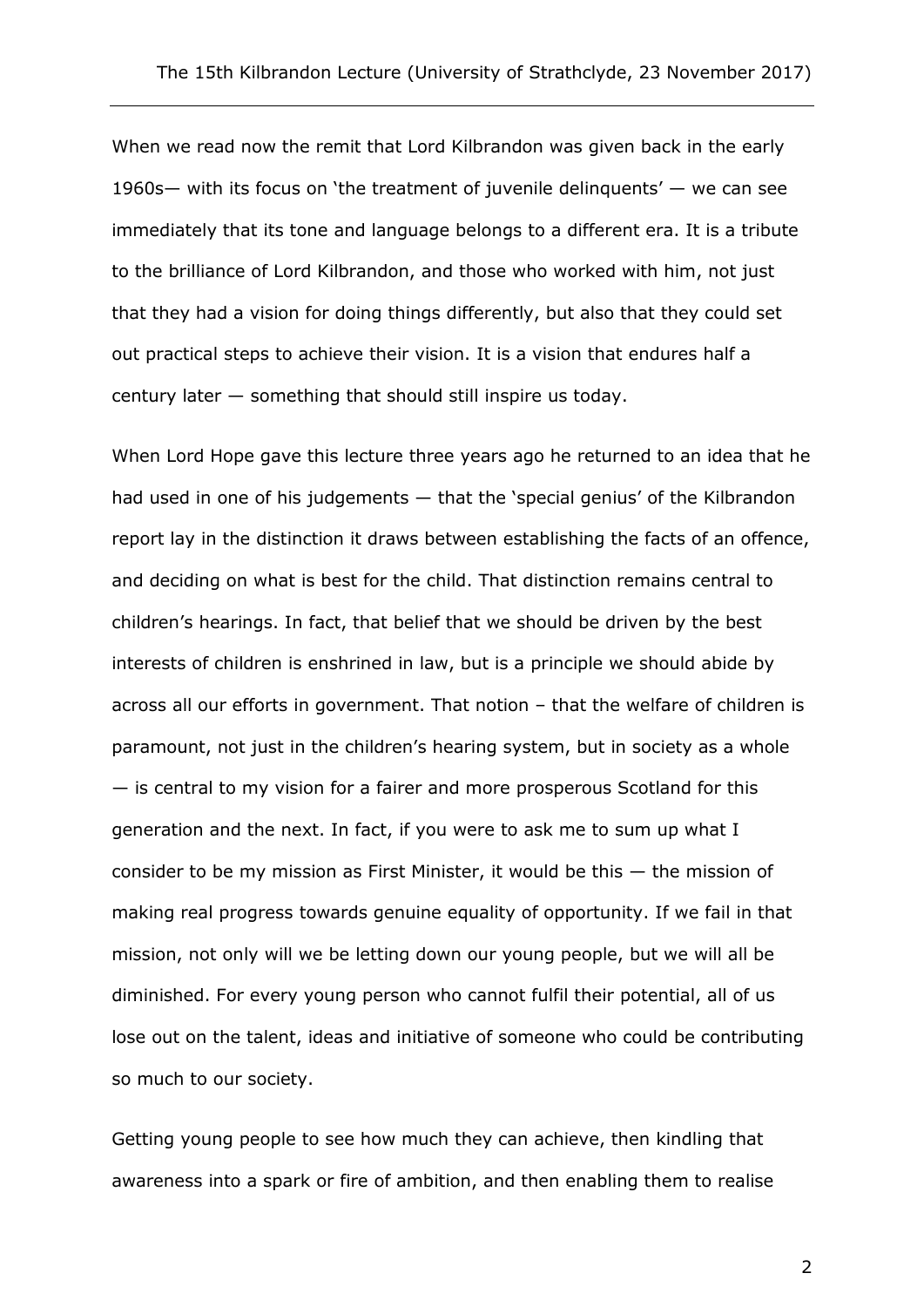When we read now the remit that Lord Kilbrandon was given back in the early 1960s— with its focus on 'the treatment of juvenile delinquents' — we can see immediately that its tone and language belongs to a different era. It is a tribute to the brilliance of Lord Kilbrandon, and those who worked with him, not just that they had a vision for doing things differently, but also that they could set out practical steps to achieve their vision. It is a vision that endures half a century later — something that should still inspire us today.

When Lord Hope gave this lecture three years ago he returned to an idea that he had used in one of his judgements — that the 'special genius' of the Kilbrandon report lay in the distinction it draws between establishing the facts of an offence, and deciding on what is best for the child. That distinction remains central to children's hearings. In fact, that belief that we should be driven by the best interests of children is enshrined in law, but is a principle we should abide by across all our efforts in government. That notion – that the welfare of children is paramount, not just in the children's hearing system, but in society as a whole — is central to my vision for a fairer and more prosperous Scotland for this generation and the next. In fact, if you were to ask me to sum up what I consider to be my mission as First Minister, it would be this — the mission of making real progress towards genuine equality of opportunity. If we fail in that mission, not only will we be letting down our young people, but we will all be diminished. For every young person who cannot fulfil their potential, all of us lose out on the talent, ideas and initiative of someone who could be contributing so much to our society.

Getting young people to see how much they can achieve, then kindling that awareness into a spark or fire of ambition, and then enabling them to realise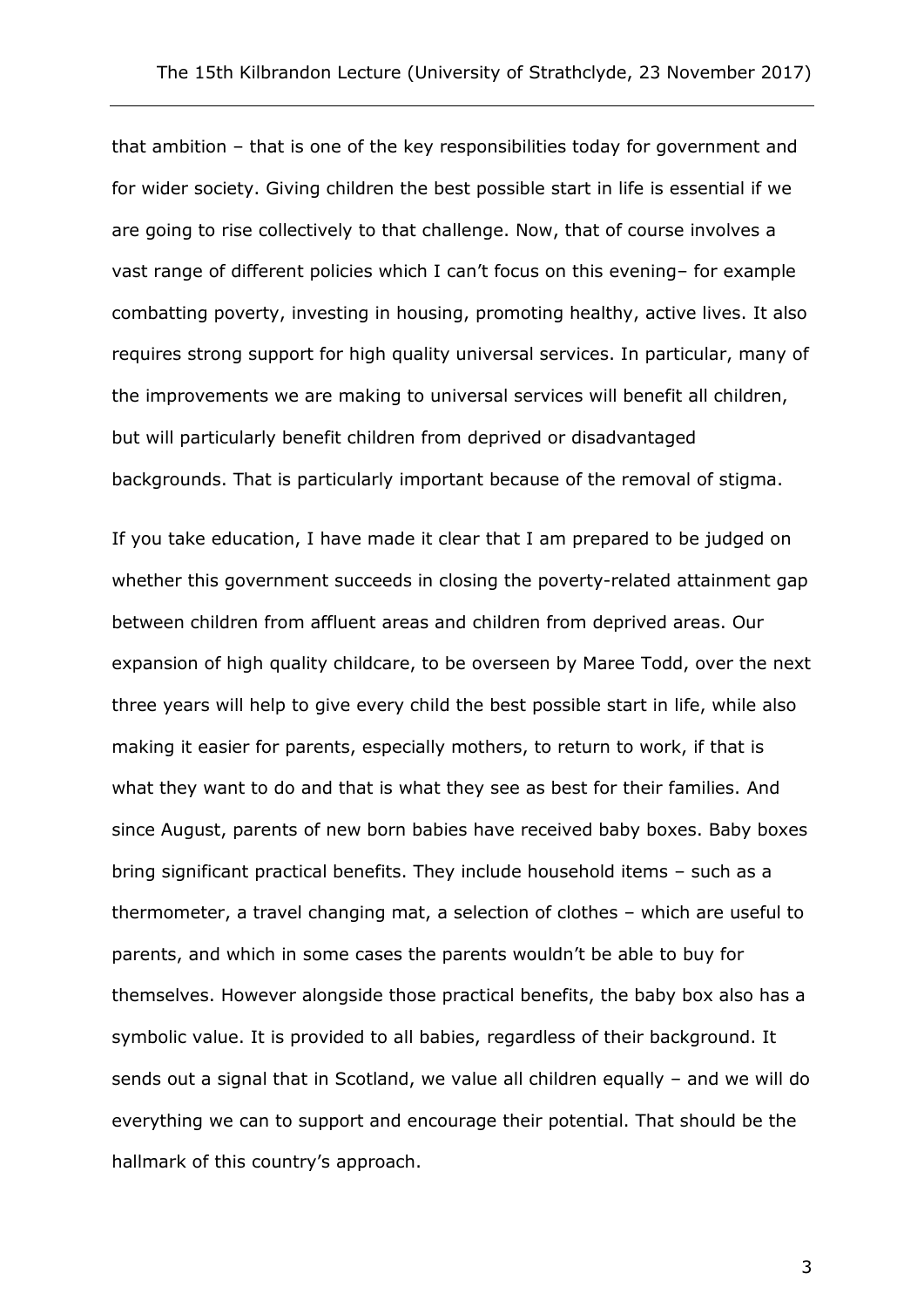that ambition – that is one of the key responsibilities today for government and for wider society. Giving children the best possible start in life is essential if we are going to rise collectively to that challenge. Now, that of course involves a vast range of different policies which I can't focus on this evening– for example combatting poverty, investing in housing, promoting healthy, active lives. It also requires strong support for high quality universal services. In particular, many of the improvements we are making to universal services will benefit all children, but will particularly benefit children from deprived or disadvantaged backgrounds. That is particularly important because of the removal of stigma.

If you take education, I have made it clear that I am prepared to be judged on whether this government succeeds in closing the poverty-related attainment gap between children from affluent areas and children from deprived areas. Our expansion of high quality childcare, to be overseen by Maree Todd, over the next three years will help to give every child the best possible start in life, while also making it easier for parents, especially mothers, to return to work, if that is what they want to do and that is what they see as best for their families. And since August, parents of new born babies have received baby boxes. Baby boxes bring significant practical benefits. They include household items – such as a thermometer, a travel changing mat, a selection of clothes – which are useful to parents, and which in some cases the parents wouldn't be able to buy for themselves. However alongside those practical benefits, the baby box also has a symbolic value. It is provided to all babies, regardless of their background. It sends out a signal that in Scotland, we value all children equally – and we will do everything we can to support and encourage their potential. That should be the hallmark of this country's approach.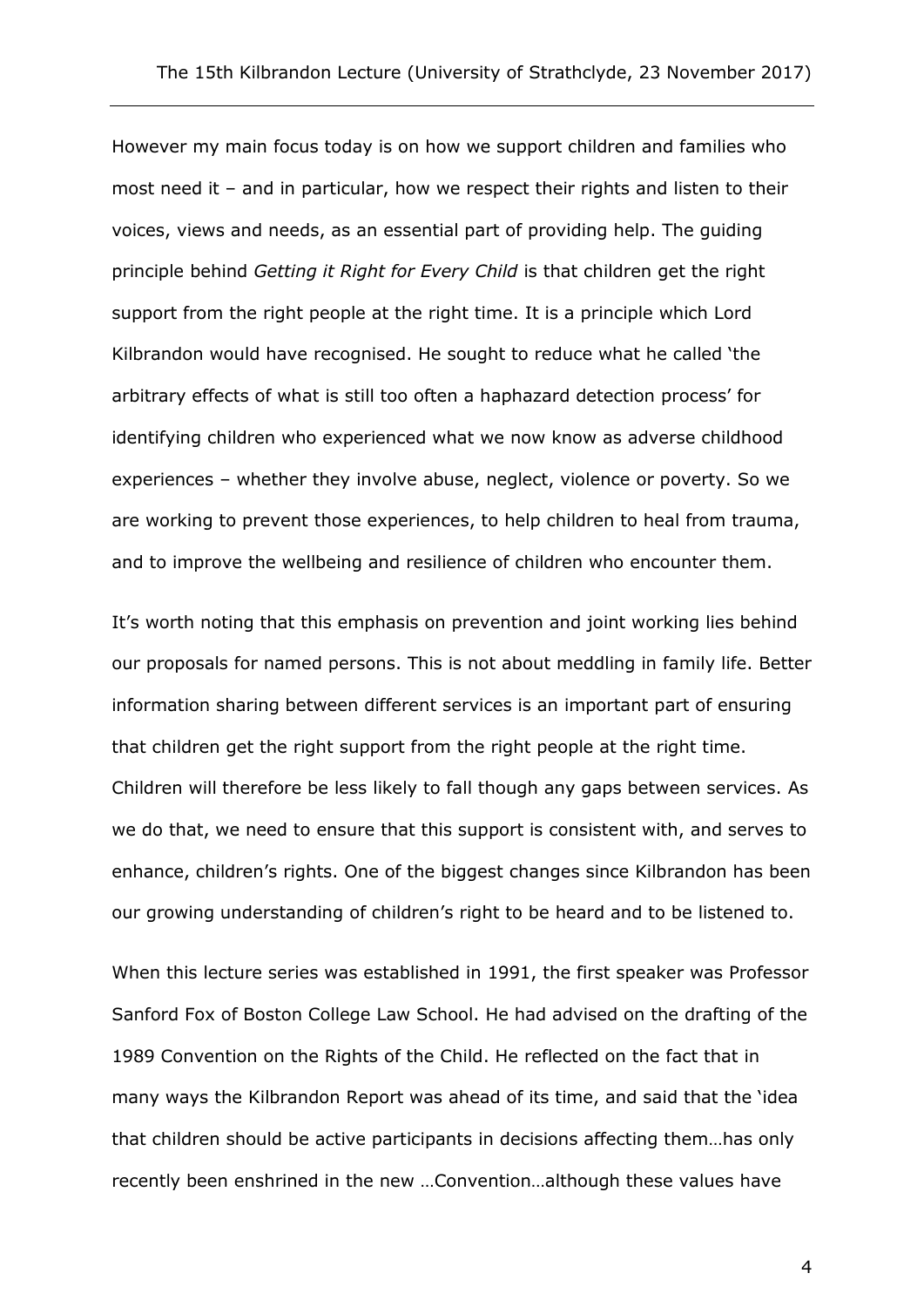However my main focus today is on how we support children and families who most need it – and in particular, how we respect their rights and listen to their voices, views and needs, as an essential part of providing help. The guiding principle behind *Getting it Right for Every Child* is that children get the right support from the right people at the right time. It is a principle which Lord Kilbrandon would have recognised. He sought to reduce what he called 'the arbitrary effects of what is still too often a haphazard detection process' for identifying children who experienced what we now know as adverse childhood experiences – whether they involve abuse, neglect, violence or poverty. So we are working to prevent those experiences, to help children to heal from trauma, and to improve the wellbeing and resilience of children who encounter them.

It's worth noting that this emphasis on prevention and joint working lies behind our proposals for named persons. This is not about meddling in family life. Better information sharing between different services is an important part of ensuring that children get the right support from the right people at the right time. Children will therefore be less likely to fall though any gaps between services. As we do that, we need to ensure that this support is consistent with, and serves to enhance, children's rights. One of the biggest changes since Kilbrandon has been our growing understanding of children's right to be heard and to be listened to.

When this lecture series was established in 1991, the first speaker was Professor Sanford Fox of Boston College Law School. He had advised on the drafting of the 1989 Convention on the Rights of the Child. He reflected on the fact that in many ways the Kilbrandon Report was ahead of its time, and said that the 'idea that children should be active participants in decisions affecting them…has only recently been enshrined in the new …Convention…although these values have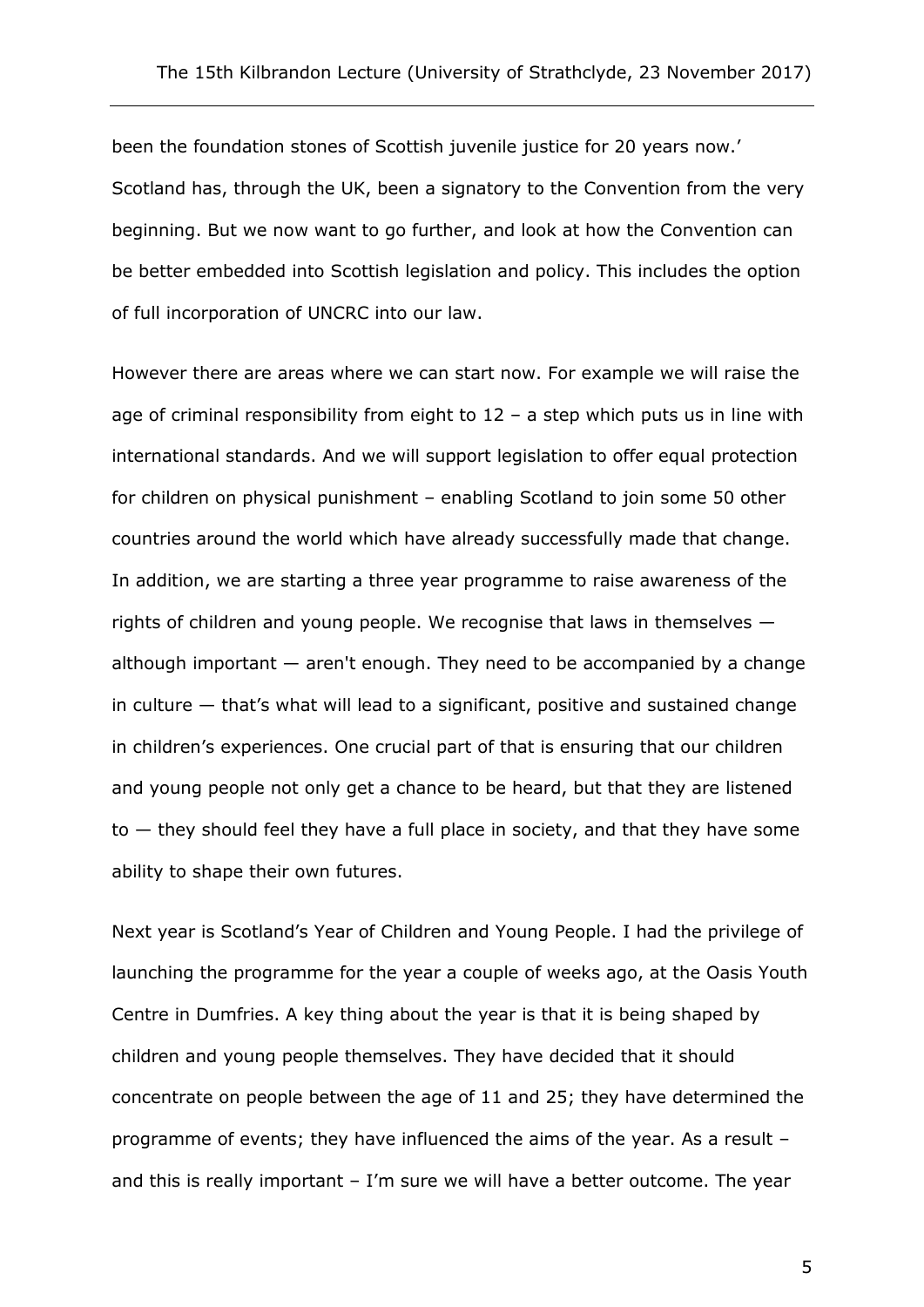been the foundation stones of Scottish juvenile justice for 20 years now.' Scotland has, through the UK, been a signatory to the Convention from the very beginning. But we now want to go further, and look at how the Convention can be better embedded into Scottish legislation and policy. This includes the option of full incorporation of UNCRC into our law.

However there are areas where we can start now. For example we will raise the age of criminal responsibility from eight to  $12 - a$  step which puts us in line with international standards. And we will support legislation to offer equal protection for children on physical punishment – enabling Scotland to join some 50 other countries around the world which have already successfully made that change. In addition, we are starting a three year programme to raise awareness of the rights of children and young people. We recognise that laws in themselves although important — aren't enough. They need to be accompanied by a change in culture — that's what will lead to a significant, positive and sustained change in children's experiences. One crucial part of that is ensuring that our children and young people not only get a chance to be heard, but that they are listened to — they should feel they have a full place in society, and that they have some ability to shape their own futures.

Next year is Scotland's Year of Children and Young People. I had the privilege of launching the programme for the year a couple of weeks ago, at the Oasis Youth Centre in Dumfries. A key thing about the year is that it is being shaped by children and young people themselves. They have decided that it should concentrate on people between the age of 11 and 25; they have determined the programme of events; they have influenced the aims of the year. As a result – and this is really important – I'm sure we will have a better outcome. The year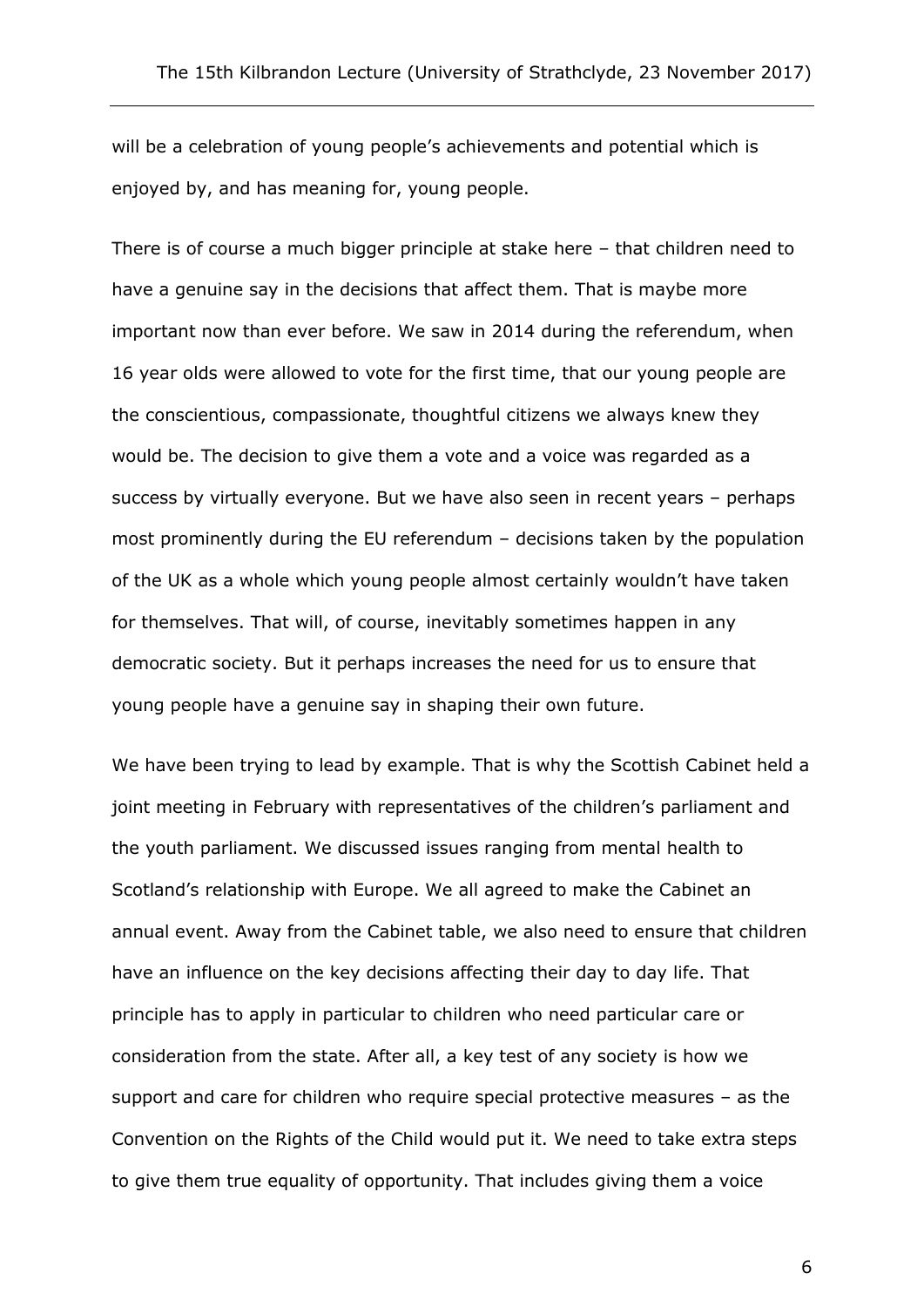will be a celebration of young people's achievements and potential which is enjoyed by, and has meaning for, young people.

There is of course a much bigger principle at stake here – that children need to have a genuine say in the decisions that affect them. That is maybe more important now than ever before. We saw in 2014 during the referendum, when 16 year olds were allowed to vote for the first time, that our young people are the conscientious, compassionate, thoughtful citizens we always knew they would be. The decision to give them a vote and a voice was regarded as a success by virtually everyone. But we have also seen in recent years – perhaps most prominently during the EU referendum – decisions taken by the population of the UK as a whole which young people almost certainly wouldn't have taken for themselves. That will, of course, inevitably sometimes happen in any democratic society. But it perhaps increases the need for us to ensure that young people have a genuine say in shaping their own future.

We have been trying to lead by example. That is why the Scottish Cabinet held a joint meeting in February with representatives of the children's parliament and the youth parliament. We discussed issues ranging from mental health to Scotland's relationship with Europe. We all agreed to make the Cabinet an annual event. Away from the Cabinet table, we also need to ensure that children have an influence on the key decisions affecting their day to day life. That principle has to apply in particular to children who need particular care or consideration from the state. After all, a key test of any society is how we support and care for children who require special protective measures – as the Convention on the Rights of the Child would put it. We need to take extra steps to give them true equality of opportunity. That includes giving them a voice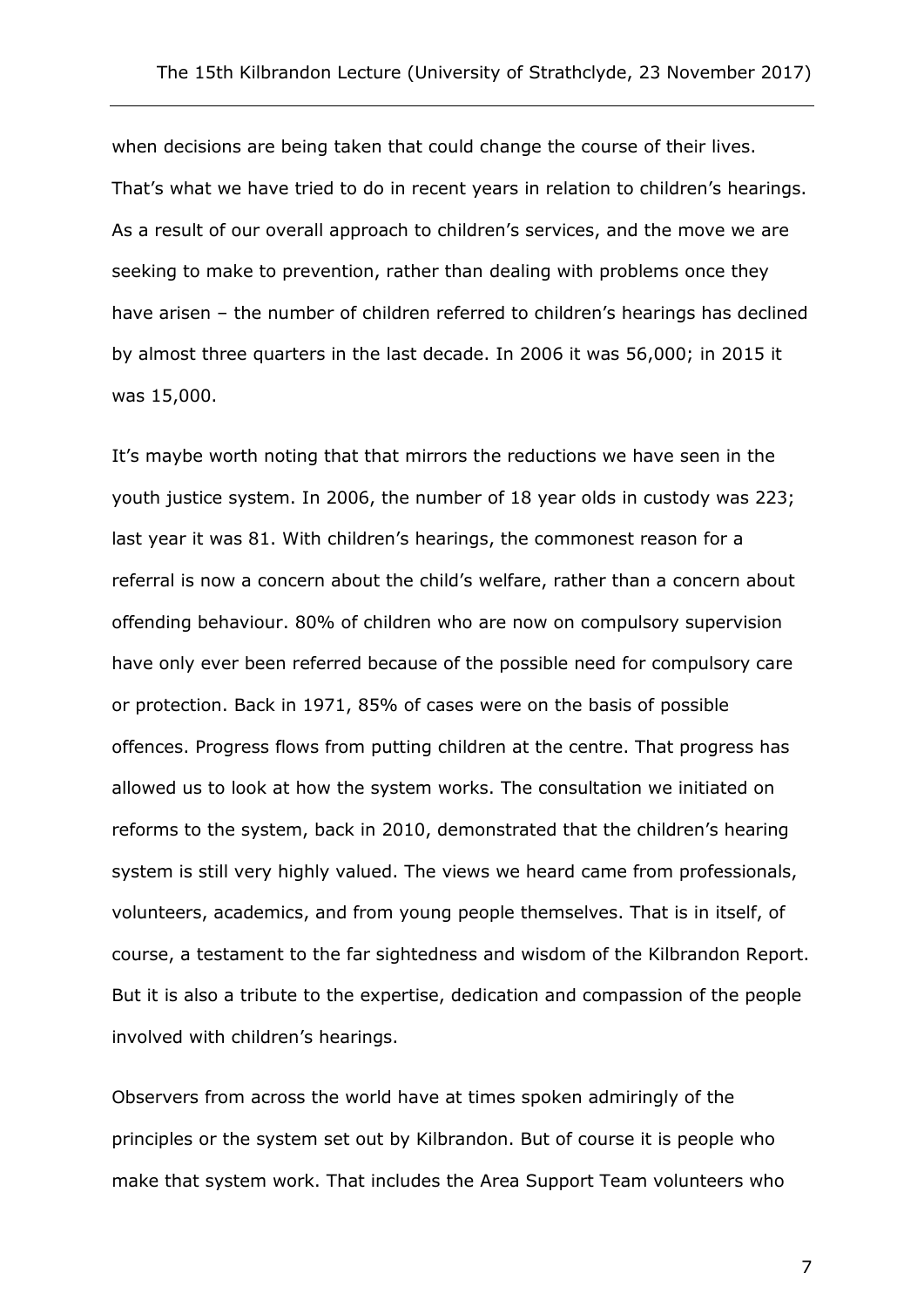when decisions are being taken that could change the course of their lives. That's what we have tried to do in recent years in relation to children's hearings. As a result of our overall approach to children's services, and the move we are seeking to make to prevention, rather than dealing with problems once they have arisen – the number of children referred to children's hearings has declined by almost three quarters in the last decade. In 2006 it was 56,000; in 2015 it was 15,000.

It's maybe worth noting that that mirrors the reductions we have seen in the youth justice system. In 2006, the number of 18 year olds in custody was 223; last year it was 81. With children's hearings, the commonest reason for a referral is now a concern about the child's welfare, rather than a concern about offending behaviour. 80% of children who are now on compulsory supervision have only ever been referred because of the possible need for compulsory care or protection. Back in 1971, 85% of cases were on the basis of possible offences. Progress flows from putting children at the centre. That progress has allowed us to look at how the system works. The consultation we initiated on reforms to the system, back in 2010, demonstrated that the children's hearing system is still very highly valued. The views we heard came from professionals, volunteers, academics, and from young people themselves. That is in itself, of course, a testament to the far sightedness and wisdom of the Kilbrandon Report. But it is also a tribute to the expertise, dedication and compassion of the people involved with children's hearings.

Observers from across the world have at times spoken admiringly of the principles or the system set out by Kilbrandon. But of course it is people who make that system work. That includes the Area Support Team volunteers who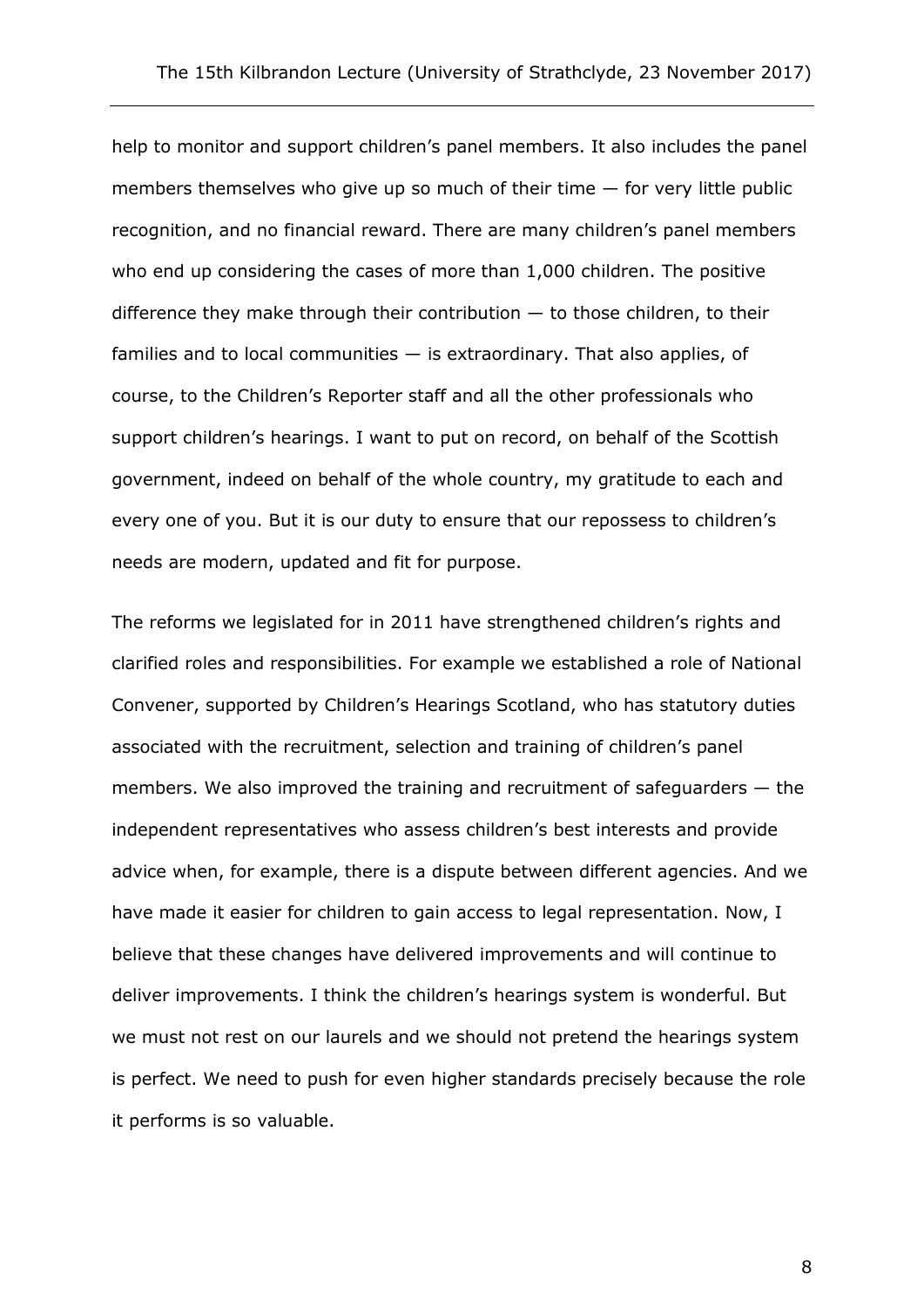help to monitor and support children's panel members. It also includes the panel members themselves who give up so much of their time — for very little public recognition, and no financial reward. There are many children's panel members who end up considering the cases of more than 1,000 children. The positive difference they make through their contribution  $-$  to those children, to their families and to local communities  $-$  is extraordinary. That also applies, of course, to the Children's Reporter staff and all the other professionals who support children's hearings. I want to put on record, on behalf of the Scottish government, indeed on behalf of the whole country, my gratitude to each and every one of you. But it is our duty to ensure that our repossess to children's needs are modern, updated and fit for purpose.

The reforms we legislated for in 2011 have strengthened children's rights and clarified roles and responsibilities. For example we established a role of National Convener, supported by Children's Hearings Scotland, who has statutory duties associated with the recruitment, selection and training of children's panel members. We also improved the training and recruitment of safeguarders — the independent representatives who assess children's best interests and provide advice when, for example, there is a dispute between different agencies. And we have made it easier for children to gain access to legal representation. Now, I believe that these changes have delivered improvements and will continue to deliver improvements. I think the children's hearings system is wonderful. But we must not rest on our laurels and we should not pretend the hearings system is perfect. We need to push for even higher standards precisely because the role it performs is so valuable.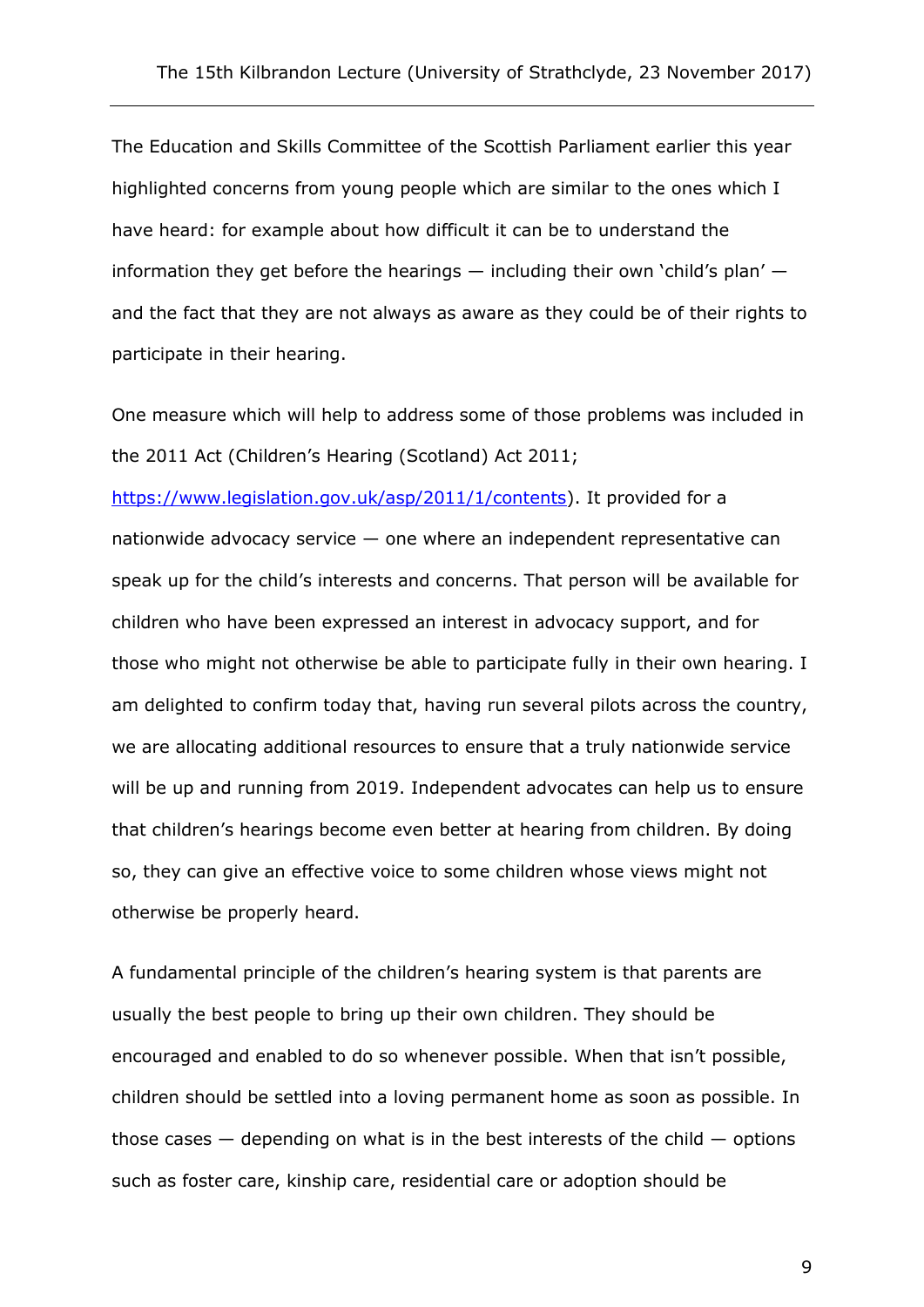The Education and Skills Committee of the Scottish Parliament earlier this year highlighted concerns from young people which are similar to the ones which I have heard: for example about how difficult it can be to understand the information they get before the hearings — including their own 'child's plan' and the fact that they are not always as aware as they could be of their rights to participate in their hearing.

One measure which will help to address some of those problems was included in the 2011 Act (Children's Hearing (Scotland) Act 2011;

[https://www.legislation.gov.uk/asp/2011/1/contents\)](https://www.legislation.gov.uk/asp/2011/1/contents). It provided for a nationwide advocacy service — one where an independent representative can speak up for the child's interests and concerns. That person will be available for children who have been expressed an interest in advocacy support, and for those who might not otherwise be able to participate fully in their own hearing. I am delighted to confirm today that, having run several pilots across the country, we are allocating additional resources to ensure that a truly nationwide service will be up and running from 2019. Independent advocates can help us to ensure that children's hearings become even better at hearing from children. By doing so, they can give an effective voice to some children whose views might not otherwise be properly heard.

A fundamental principle of the children's hearing system is that parents are usually the best people to bring up their own children. They should be encouraged and enabled to do so whenever possible. When that isn't possible, children should be settled into a loving permanent home as soon as possible. In those cases  $-$  depending on what is in the best interests of the child  $-$  options such as foster care, kinship care, residential care or adoption should be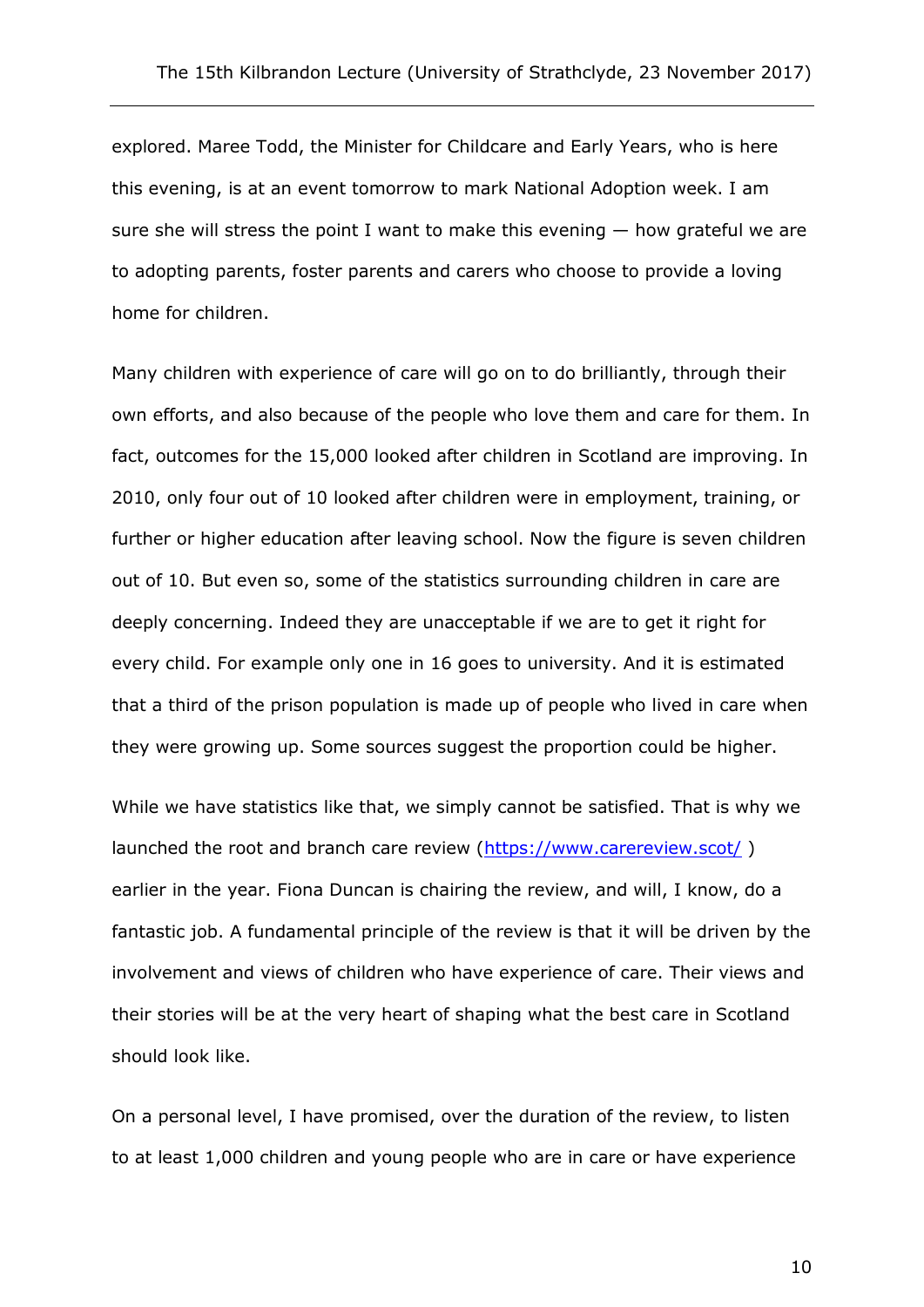explored. Maree Todd, the Minister for Childcare and Early Years, who is here this evening, is at an event tomorrow to mark National Adoption week. I am sure she will stress the point I want to make this evening  $-$  how grateful we are to adopting parents, foster parents and carers who choose to provide a loving home for children.

Many children with experience of care will go on to do brilliantly, through their own efforts, and also because of the people who love them and care for them. In fact, outcomes for the 15,000 looked after children in Scotland are improving. In 2010, only four out of 10 looked after children were in employment, training, or further or higher education after leaving school. Now the figure is seven children out of 10. But even so, some of the statistics surrounding children in care are deeply concerning. Indeed they are unacceptable if we are to get it right for every child. For example only one in 16 goes to university. And it is estimated that a third of the prison population is made up of people who lived in care when they were growing up. Some sources suggest the proportion could be higher.

While we have statistics like that, we simply cannot be satisfied. That is why we launched the root and branch care review [\(https://www.carereview.scot/](https://www.carereview.scot/)) earlier in the year. Fiona Duncan is chairing the review, and will, I know, do a fantastic job. A fundamental principle of the review is that it will be driven by the involvement and views of children who have experience of care. Their views and their stories will be at the very heart of shaping what the best care in Scotland should look like.

On a personal level, I have promised, over the duration of the review, to listen to at least 1,000 children and young people who are in care or have experience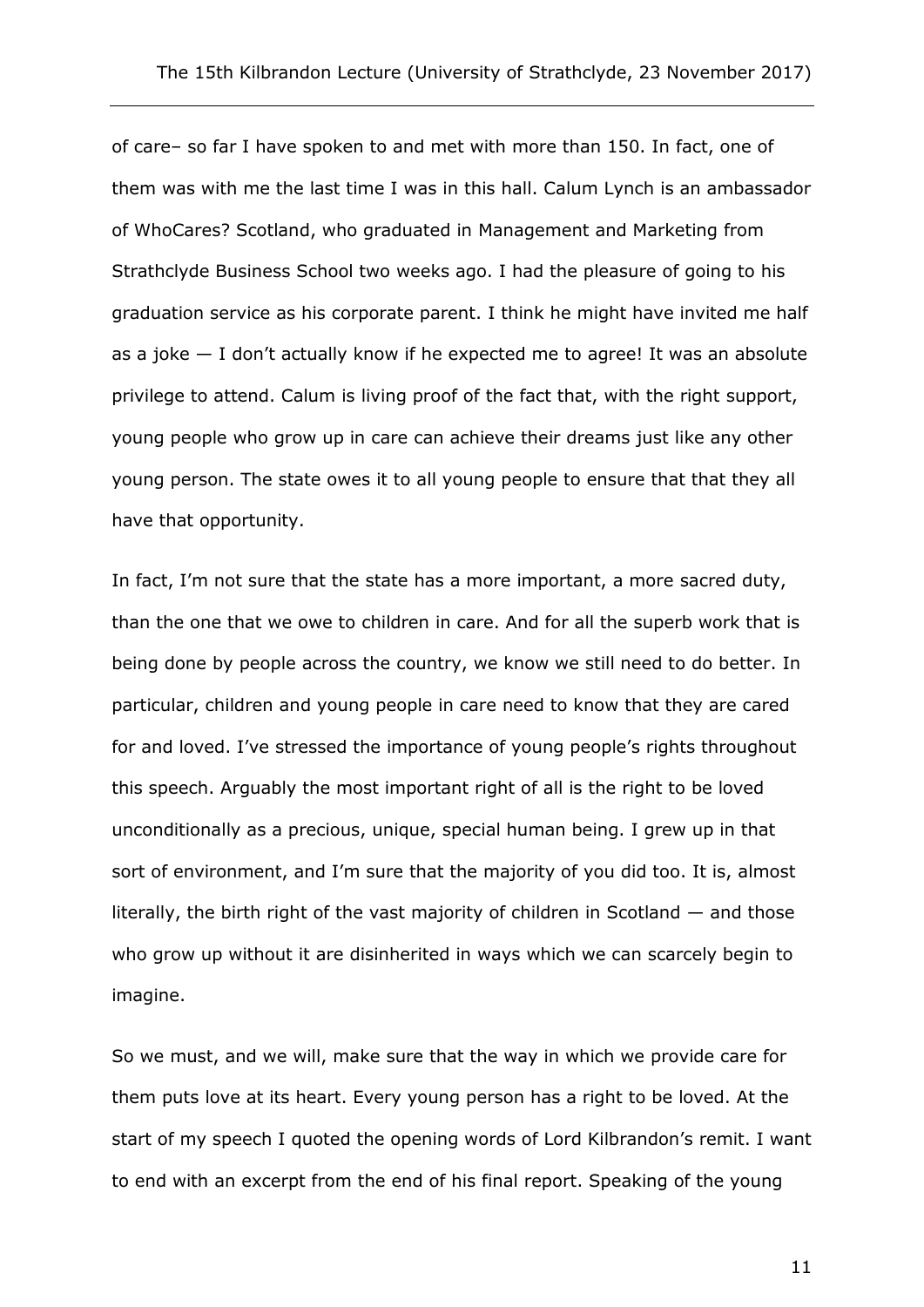of care– so far I have spoken to and met with more than 150. In fact, one of them was with me the last time I was in this hall. Calum Lynch is an ambassador of WhoCares? Scotland, who graduated in Management and Marketing from Strathclyde Business School two weeks ago. I had the pleasure of going to his graduation service as his corporate parent. I think he might have invited me half as a joke  $-$  I don't actually know if he expected me to agree! It was an absolute privilege to attend. Calum is living proof of the fact that, with the right support, young people who grow up in care can achieve their dreams just like any other young person. The state owes it to all young people to ensure that that they all have that opportunity.

In fact, I'm not sure that the state has a more important, a more sacred duty, than the one that we owe to children in care. And for all the superb work that is being done by people across the country, we know we still need to do better. In particular, children and young people in care need to know that they are cared for and loved. I've stressed the importance of young people's rights throughout this speech. Arguably the most important right of all is the right to be loved unconditionally as a precious, unique, special human being. I grew up in that sort of environment, and I'm sure that the majority of you did too. It is, almost literally, the birth right of the vast majority of children in Scotland — and those who grow up without it are disinherited in ways which we can scarcely begin to imagine.

So we must, and we will, make sure that the way in which we provide care for them puts love at its heart. Every young person has a right to be loved. At the start of my speech I quoted the opening words of Lord Kilbrandon's remit. I want to end with an excerpt from the end of his final report. Speaking of the young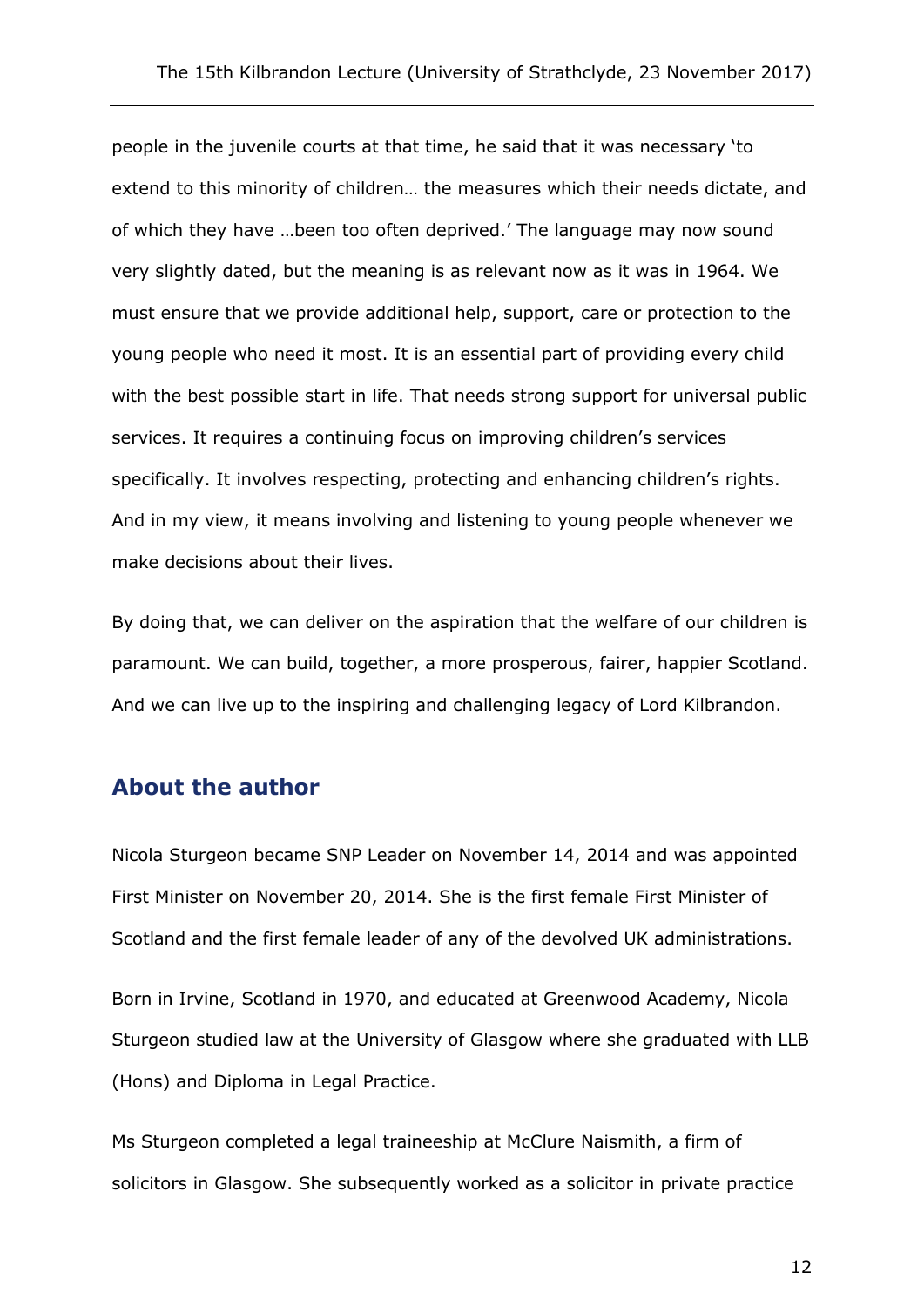people in the juvenile courts at that time, he said that it was necessary 'to extend to this minority of children… the measures which their needs dictate, and of which they have …been too often deprived.' The language may now sound very slightly dated, but the meaning is as relevant now as it was in 1964. We must ensure that we provide additional help, support, care or protection to the young people who need it most. It is an essential part of providing every child with the best possible start in life. That needs strong support for universal public services. It requires a continuing focus on improving children's services specifically. It involves respecting, protecting and enhancing children's rights. And in my view, it means involving and listening to young people whenever we make decisions about their lives.

By doing that, we can deliver on the aspiration that the welfare of our children is paramount. We can build, together, a more prosperous, fairer, happier Scotland. And we can live up to the inspiring and challenging legacy of Lord Kilbrandon.

#### **About the author**

Nicola Sturgeon became SNP Leader on November 14, 2014 and was appointed First Minister on November 20, 2014. She is the first female First Minister of Scotland and the first female leader of any of the devolved UK administrations.

Born in Irvine, Scotland in 1970, and educated at Greenwood Academy, Nicola Sturgeon studied law at the University of Glasgow where she graduated with LLB (Hons) and Diploma in Legal Practice.

Ms Sturgeon completed a legal traineeship at McClure Naismith, a firm of solicitors in Glasgow. She subsequently worked as a solicitor in private practice